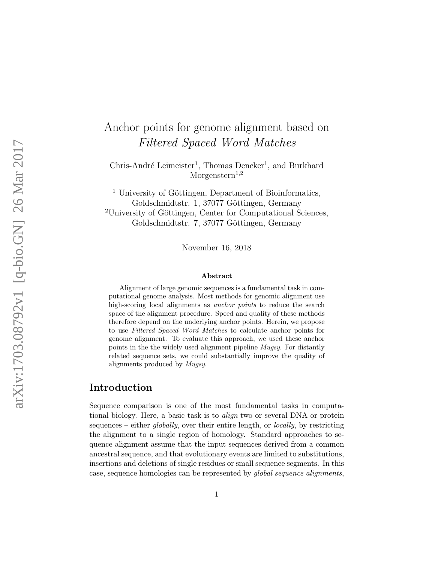# Anchor points for genome alignment based on Filtered Spaced Word Matches

Chris-André Leimeister<sup>1</sup>, Thomas Dencker<sup>1</sup>, and Burkhard  $M$ orgenstern<sup>1,2</sup>

<sup>1</sup> University of Göttingen, Department of Bioinformatics, Goldschmidtstr. 1, 37077 Göttingen, Germany <sup>2</sup>University of Göttingen, Center for Computational Sciences, Goldschmidtstr. 7, 37077 Göttingen, Germany

November 16, 2018

#### Abstract

Alignment of large genomic sequences is a fundamental task in computational genome analysis. Most methods for genomic alignment use high-scoring local alignments as *anchor points* to reduce the search space of the alignment procedure. Speed and quality of these methods therefore depend on the underlying anchor points. Herein, we propose to use Filtered Spaced Word Matches to calculate anchor points for genome alignment. To evaluate this approach, we used these anchor points in the the widely used alignment pipeline Mugsy. For distantly related sequence sets, we could substantially improve the quality of alignments produced by Mugsy.

## Introduction

Sequence comparison is one of the most fundamental tasks in computational biology. Here, a basic task is to *align* two or several DNA or protein sequences – either globally, over their entire length, or locally, by restricting the alignment to a single region of homology. Standard approaches to sequence alignment assume that the input sequences derived from a common ancestral sequence, and that evolutionary events are limited to substitutions, insertions and deletions of single residues or small sequence segments. In this case, sequence homologies can be represented by global sequence alignments,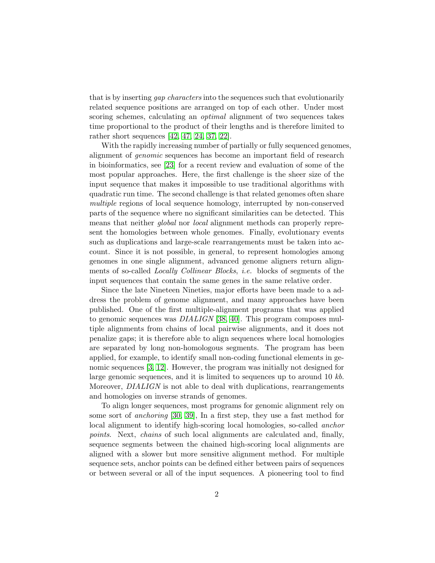that is by inserting *gap characters* into the sequences such that evolutionarily related sequence positions are arranged on top of each other. Under most scoring schemes, calculating an *optimal* alignment of two sequences takes time proportional to the product of their lengths and is therefore limited to rather short sequences [\[42,](#page-17-0) [47,](#page-18-0) [24,](#page-16-0) [37,](#page-17-1) [22\]](#page-15-0).

With the rapidly increasing number of partially or fully sequenced genomes, alignment of genomic sequences has become an important field of research in bioinformatics, see [\[23\]](#page-15-1) for a recent review and evaluation of some of the most popular approaches. Here, the first challenge is the sheer size of the input sequence that makes it impossible to use traditional algorithms with quadratic run time. The second challenge is that related genomes often share multiple regions of local sequence homology, interrupted by non-conserved parts of the sequence where no significant similarities can be detected. This means that neither *global* nor *local* alignment methods can properly represent the homologies between whole genomes. Finally, evolutionary events such as duplications and large-scale rearrangements must be taken into account. Since it is not possible, in general, to represent homologies among genomes in one single alignment, advanced genome aligners return alignments of so-called Locally Collinear Blocks, i.e. blocks of segments of the input sequences that contain the same genes in the same relative order.

Since the late Nineteen Nineties, major efforts have been made to a address the problem of genome alignment, and many approaches have been published. One of the first multiple-alignment programs that was applied to genomic sequences was  $DIALIGN$  [\[38,](#page-17-2) [40\]](#page-17-3). This program composes multiple alignments from chains of local pairwise alignments, and it does not penalize gaps; it is therefore able to align sequences where local homologies are separated by long non-homologous segments. The program has been applied, for example, to identify small non-coding functional elements in genomic sequences [\[3,](#page-14-0) [12\]](#page-14-1). However, the program was initially not designed for large genomic sequences, and it is limited to sequences up to around 10 kb. Moreover, *DIALIGN* is not able to deal with duplications, rearrangements and homologies on inverse strands of genomes.

To align longer sequences, most programs for genomic alignment rely on some sort of anchoring [\[30,](#page-16-1) [39\]](#page-17-4), In a first step, they use a fast method for local alignment to identify high-scoring local homologies, so-called anchor points. Next, chains of such local alignments are calculated and, finally, sequence segments between the chained high-scoring local alignments are aligned with a slower but more sensitive alignment method. For multiple sequence sets, anchor points can be defined either between pairs of sequences or between several or all of the input sequences. A pioneering tool to find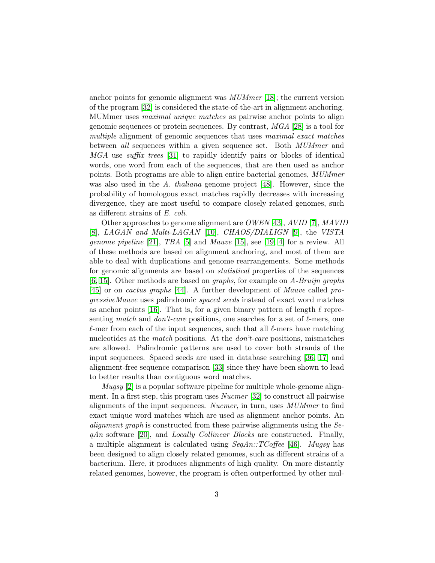anchor points for genomic alignment was MUMmer [\[18\]](#page-15-2); the current version of the program [\[32\]](#page-16-2) is considered the state-of-the-art in alignment anchoring. MUMmer uses maximal unique matches as pairwise anchor points to align genomic sequences or protein sequences. By contrast,  $MGA$  [\[28\]](#page-16-3) is a tool for multiple alignment of genomic sequences that uses maximal exact matches between all sequences within a given sequence set. Both *MUMmer* and MGA use suffix trees [\[31\]](#page-16-4) to rapidly identify pairs or blocks of identical words, one word from each of the sequences, that are then used as anchor points. Both programs are able to align entire bacterial genomes, MUMmer was also used in the A. thaliana genome project [\[48\]](#page-18-1). However, since the probability of homologous exact matches rapidly decreases with increasing divergence, they are most useful to compare closely related genomes, such as different strains of E. coli.

Other approaches to genome alignment are OWEN [\[43\]](#page-17-5), AVID [\[7\]](#page-14-2), MAVID [\[8\]](#page-14-3), LAGAN and Multi-LAGAN [\[10\]](#page-14-4), CHAOS/DIALIGN [\[9\]](#page-14-5), the VISTA *genome pipeline* [\[21\]](#page-15-3), *TBA* [\[5\]](#page-14-6) and *Mauve* [\[15\]](#page-15-4), see [\[19,](#page-15-5) [4\]](#page-14-7) for a review. All of these methods are based on alignment anchoring, and most of them are able to deal with duplications and genome rearrangements. Some methods for genomic alignments are based on statistical properties of the sequences [\[6,](#page-14-8) [15\]](#page-15-4). Other methods are based on graphs, for example on A-Bruijn graphs [\[45\]](#page-17-6) or on cactus graphs [\[44\]](#page-17-7). A further development of Mauve called progressiveMauve uses palindromic spaced seeds instead of exact word matches as anchor points [\[16\]](#page-15-6). That is, for a given binary pattern of length  $\ell$  representing match and don't-care positions, one searches for a set of  $\ell$ -mers, one  $\ell$ -mer from each of the input sequences, such that all  $\ell$ -mers have matching nucleotides at the *match* positions. At the *don't-care* positions, mismatches are allowed. Palindromic patterns are used to cover both strands of the input sequences. Spaced seeds are used in database searching [\[36,](#page-17-8) [17\]](#page-15-7) and alignment-free sequence comparison [\[33\]](#page-16-5) since they have been shown to lead to better results than contiguous word matches.

Mugsy [\[2\]](#page-13-0) is a popular software pipeline for multiple whole-genome alignment. In a first step, this program uses Nucmer [\[32\]](#page-16-2) to construct all pairwise alignments of the input sequences. Nucmer, in turn, uses MUMmer to find exact unique word matches which are used as alignment anchor points. An alignment graph is constructed from these pairwise alignments using the Se $qAn$  software [\[20\]](#page-15-8), and *Locally Collinear Blocks* are constructed. Finally, a multiple alignment is calculated using  $SeqAn:TCoffee$  [\[46\]](#page-18-2). Mugsy has been designed to align closely related genomes, such as different strains of a bacterium. Here, it produces alignments of high quality. On more distantly related genomes, however, the program is often outperformed by other mul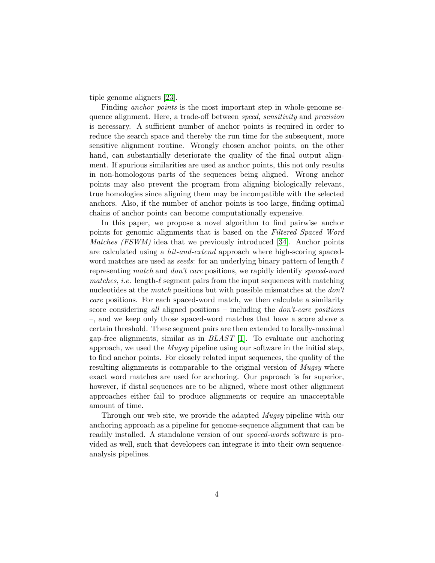tiple genome aligners [\[23\]](#page-15-1).

Finding *anchor points* is the most important step in whole-genome sequence alignment. Here, a trade-off between speed, sensitivity and precision is necessary. A sufficient number of anchor points is required in order to reduce the search space and thereby the run time for the subsequent, more sensitive alignment routine. Wrongly chosen anchor points, on the other hand, can substantially deteriorate the quality of the final output alignment. If spurious similarities are used as anchor points, this not only results in non-homologous parts of the sequences being aligned. Wrong anchor points may also prevent the program from aligning biologically relevant, true homologies since aligning them may be incompatible with the selected anchors. Also, if the number of anchor points is too large, finding optimal chains of anchor points can become computationally expensive.

In this paper, we propose a novel algorithm to find pairwise anchor points for genomic alignments that is based on the Filtered Spaced Word Matches (FSWM) idea that we previously introduced [\[34\]](#page-16-6). Anchor points are calculated using a hit-and-extend approach where high-scoring spacedword matches are used as *seeds*: for an underlying binary pattern of length  $\ell$ representing match and don't care positions, we rapidly identify spaced-word matches, *i.e.* length- $\ell$  segment pairs from the input sequences with matching nucleotides at the *match* positions but with possible mismatches at the *don't* care positions. For each spaced-word match, we then calculate a similarity score considering all aligned positions – including the  $don't\text{-}care$  positions –, and we keep only those spaced-word matches that have a score above a certain threshold. These segment pairs are then extended to locally-maximal gap-free alignments, similar as in  $BLAST$  [\[1\]](#page-13-1). To evaluate our anchoring approach, we used the  $Mugs$  pipeline using our software in the initial step, to find anchor points. For closely related input sequences, the quality of the resulting alignments is comparable to the original version of *Mugsy* where exact word matches are used for anchoring. Our paproach is far superior, however, if distal sequences are to be aligned, where most other alignment approaches either fail to produce alignments or require an unacceptable amount of time.

Through our web site, we provide the adapted *Mugsy* pipeline with our anchoring approach as a pipeline for genome-sequence alignment that can be readily installed. A standalone version of our spaced-words software is provided as well, such that developers can integrate it into their own sequenceanalysis pipelines.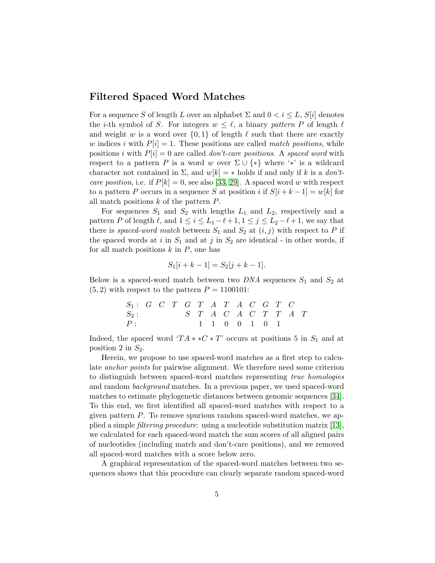## Filtered Spaced Word Matches

For a sequence S of length L over an alphabet  $\Sigma$  and  $0 < i \leq L$ ,  $S[i]$  denotes the *i*-th symbol of S. For integers  $w \leq \ell$ , a binary pattern P of length  $\ell$ and weight w is a word over  $\{0, 1\}$  of length  $\ell$  such that there are exactly w indices i with  $P[i] = 1$ . These positions are called match positions, while positions i with  $P[i] = 0$  are called *don't-care positions*. A spaced word with respect to a pattern P is a word w over  $\Sigma \cup \{*\}$  where '\*' is a wildcard character not contained in  $\Sigma$ , and  $w[k] = *$  holds if and only if k is a *don't*care position, i.e. if  $P[k] = 0$ , see also [\[33,](#page-16-5) [29\]](#page-16-7). A spaced word w with respect to a pattern P occurs in a sequence S at position i if  $S[i + k - 1] = w[k]$  for all match positions  $k$  of the pattern  $P$ .

For sequences  $S_1$  and  $S_2$  with lengths  $L_1$  and  $L_2$ , respectively and a pattern P of length  $\ell$ , and  $1 \leq i \leq L_1 - \ell + 1, 1 \leq j \leq L_2 - \ell + 1$ , we say that there is spaced-word match between  $S_1$  and  $S_2$  at  $(i, j)$  with respect to P if the spaced words at i in  $S_1$  and at j in  $S_2$  are identical - in other words, if for all match positions  $k$  in  $P$ , one has

$$
S_1[i + k - 1] = S_2[j + k - 1].
$$

Below is a spaced-word match between two  $DNA$  sequences  $S_1$  and  $S_2$  at  $(5, 2)$  with respect to the pattern  $P = 1100101$ :

| $S_1: G \quad C \quad T \quad G \quad T \quad A \quad T \quad A \quad C \quad G \quad T \quad C$ |  |  |  |                                         |  |  |  |
|--------------------------------------------------------------------------------------------------|--|--|--|-----------------------------------------|--|--|--|
| $S_2$ :                                                                                          |  |  |  | $S$ $T$ $A$ $C$ $A$ $C$ $T$ $T$ $A$ $T$ |  |  |  |
| P:                                                                                               |  |  |  | 1 1 0 0 1 0 1                           |  |  |  |

Indeed, the spaced word ' $TA * *C * T'$  occurs at positions 5 in  $S_1$  and at position 2 in  $S_2$ .

Herein, we propose to use spaced-word matches as a first step to calculate anchor points for pairwise alignment. We therefore need some criterion to distinguish between spaced-word matches representing true homologies and random background matches. In a previous paper, we used spaced-word matches to estimate phylogenetic distances between genomic sequences [\[34\]](#page-16-6). To this end, we first identified all spaced-word matches with respect to a given pattern  $P$ . To remove spurious random spaced-word matches, we applied a simple filtering procedure: using a nucleotide substitution matrix [\[13\]](#page-14-9), we calculated for each spaced-word match the sum scores of all aligned pairs of nucleotides (including match and don't-care positions), and we removed all spaced-word matches with a score below zero.

A graphical representation of the spaced-word matches between two sequences shows that this procedure can clearly separate random spaced-word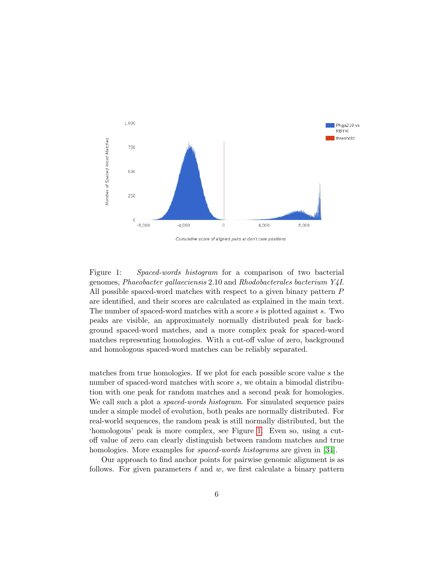

Cumulative score of aligned pairs at don't care positions

<span id="page-5-0"></span>Figure 1: Spaced-words histogram for a comparison of two bacterial genomes, Phaeobacter gallaeciensis 2.10 and Rhodobacterales bacterium Y4I. All possible spaced-word matches with respect to a given binary pattern P are identified, and their scores are calculated as explained in the main text. The number of spaced-word matches with a score s is plotted against s. Two peaks are visible, an approximately normally distributed peak for background spaced-word matches, and a more complex peak for spaced-word matches representing homologies. With a cut-off value of zero, background and homologous spaced-word matches can be reliably separated.

matches from true homologies. If we plot for each possible score value s the number of spaced-word matches with score s, we obtain a bimodal distribution with one peak for random matches and a second peak for homologies. We call such a plot a *spaced-words histogram*. For simulated sequence pairs under a simple model of evolution, both peaks are normally distributed. For real-world sequences, the random peak is still normally distributed, but the 'homologous' peak is more complex, see Figure [1.](#page-5-0) Even so, using a cutoff value of zero can clearly distinguish between random matches and true homologies. More examples for *spaced-words histograms* are given in [\[34\]](#page-16-6).

Our approach to find anchor points for pairwise genomic alignment is as follows. For given parameters  $\ell$  and w, we first calculate a binary pattern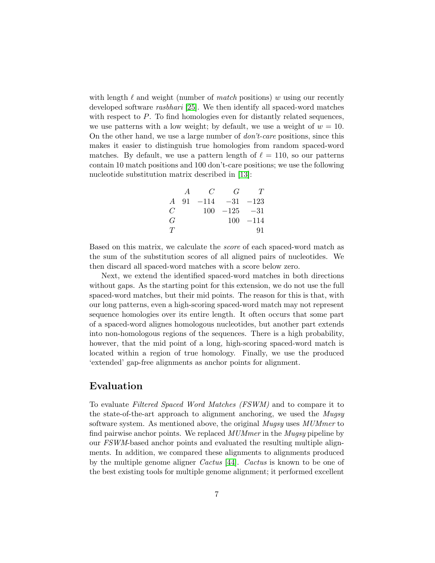with length  $\ell$  and weight (number of *match* positions) w using our recently developed software *rasbhari* [\[25\]](#page-16-8). We then identify all spaced-word matches with respect to  $P$ . To find homologies even for distantly related sequences, we use patterns with a low weight; by default, we use a weight of  $w = 10$ . On the other hand, we use a large number of don't-care positions, since this makes it easier to distinguish true homologies from random spaced-word matches. By default, we use a pattern length of  $\ell = 110$ , so our patterns contain 10 match positions and 100 don't-care positions; we use the following nucleotide substitution matrix described in [\[13\]](#page-14-9):

$$
\begin{array}{ccccc}\n & A & C & G & T \\
A & 91 & -114 & -31 & -123 \\
C & & 100 & -125 & -31 \\
G & & & 100 & -114 \\
T & & & & 91\n\end{array}
$$

Based on this matrix, we calculate the score of each spaced-word match as the sum of the substitution scores of all aligned pairs of nucleotides. We then discard all spaced-word matches with a score below zero.

Next, we extend the identified spaced-word matches in both directions without gaps. As the starting point for this extension, we do not use the full spaced-word matches, but their mid points. The reason for this is that, with our long patterns, even a high-scoring spaced-word match may not represent sequence homologies over its entire length. It often occurs that some part of a spaced-word alignes homologous nucleotides, but another part extends into non-homologous regions of the sequences. There is a high probability, however, that the mid point of a long, high-scoring spaced-word match is located within a region of true homology. Finally, we use the produced 'extended' gap-free alignments as anchor points for alignment.

## Evaluation

To evaluate Filtered Spaced Word Matches (FSWM) and to compare it to the state-of-the-art approach to alignment anchoring, we used the *Mugsy* software system. As mentioned above, the original *Mugsy* uses *MUMmer* to find pairwise anchor points. We replaced MUMmer in the Mugsy pipeline by our FSWM-based anchor points and evaluated the resulting multiple alignments. In addition, we compared these alignments to alignments produced by the multiple genome aligner Cactus [\[44\]](#page-17-7). Cactus is known to be one of the best existing tools for multiple genome alignment; it performed excellent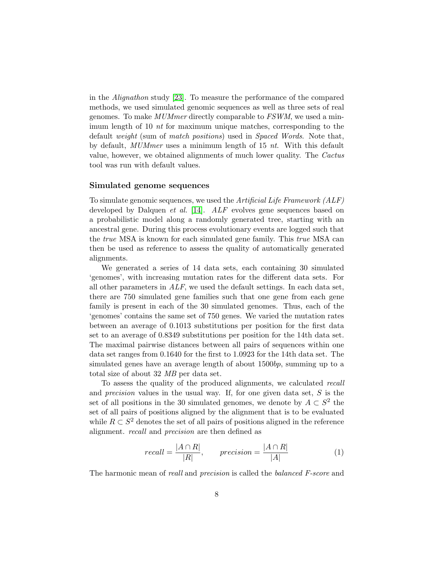in the Alignathon study [\[23\]](#page-15-1). To measure the performance of the compared methods, we used simulated genomic sequences as well as three sets of real genomes. To make MUMmer directly comparable to FSWM, we used a minimum length of 10 nt for maximum unique matches, corresponding to the default weight (sum of match positions) used in Spaced Words. Note that, by default, MUMmer uses a minimum length of 15 nt. With this default value, however, we obtained alignments of much lower quality. The Cactus tool was run with default values.

#### Simulated genome sequences

To simulate genomic sequences, we used the Artificial Life Framework (ALF) developed by Dalquen *et al.* [\[14\]](#page-15-9). ALF evolves gene sequences based on a probabilistic model along a randomly generated tree, starting with an ancestral gene. During this process evolutionary events are logged such that the *true* MSA is known for each simulated gene family. This *true* MSA can then be used as reference to assess the quality of automatically generated alignments.

We generated a series of 14 data sets, each containing 30 simulated 'genomes', with increasing mutation rates for the different data sets. For all other parameters in  $ALF$ , we used the default settings. In each data set, there are 750 simulated gene families such that one gene from each gene family is present in each of the 30 simulated genomes. Thus, each of the 'genomes' contains the same set of 750 genes. We varied the mutation rates between an average of 0.1013 substitutions per position for the first data set to an average of 0.8349 substitutions per position for the 14th data set. The maximal pairwise distances between all pairs of sequences within one data set ranges from 0.1640 for the first to 1.0923 for the 14th data set. The simulated genes have an average length of about 1500bp, summing up to a total size of about 32 MB per data set.

To assess the quality of the produced alignments, we calculated recall and *precision* values in the usual way. If, for one given data set,  $S$  is the set of all positions in the 30 simulated genomes, we denote by  $A \subset S^2$  the set of all pairs of positions aligned by the alignment that is to be evaluated while  $R \subset S^2$  denotes the set of all pairs of positions aligned in the reference alignment. recall and precision are then defined as

$$
recall = \frac{|A \cap R|}{|R|}, \qquad precision = \frac{|A \cap R|}{|A|} \tag{1}
$$

The harmonic mean of *reall* and *precision* is called the *balanced F-score* and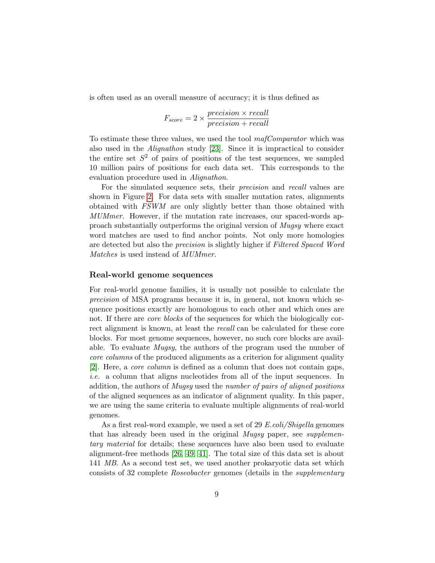is often used as an overall measure of accuracy; it is thus defined as

$$
F_{score} = 2 \times \frac{precision \times recall}{precision + recall}
$$

To estimate these three values, we used the tool mafComparator which was also used in the Alignathon study [\[23\]](#page-15-1). Since it is impractical to consider the entire set  $S^2$  of pairs of positions of the test sequences, we sampled 10 million pairs of positions for each data set. This corresponds to the evaluation procedure used in Alignathon.

For the simulated sequence sets, their precision and recall values are shown in Figure [2.](#page-9-0) For data sets with smaller mutation rates, alignments obtained with FSWM are only slightly better than those obtained with MUMmer. However, if the mutation rate increases, our spaced-words approach substantially outperforms the original version of Mugsy where exact word matches are used to find anchor points. Not only more homologies are detected but also the *precision* is slightly higher if *Filtered Spaced Word* Matches is used instead of MUMmer.

#### Real-world genome sequences

For real-world genome families, it is usually not possible to calculate the precision of MSA programs because it is, in general, not known which sequence positions exactly are homologous to each other and which ones are not. If there are *core blocks* of the sequences for which the biologically correct alignment is known, at least the recall can be calculated for these core blocks. For most genome sequences, however, no such core blocks are available. To evaluate Mugsy, the authors of the program used the number of core columns of the produced alignments as a criterion for alignment quality [\[2\]](#page-13-0). Here, a core column is defined as a column that does not contain gaps, i.e. a column that aligns nucleotides from all of the input sequences. In addition, the authors of *Mugsy* used the *number of pairs of aligned positions* of the aligned sequences as an indicator of alignment quality. In this paper, we are using the same criteria to evaluate multiple alignments of real-world genomes.

As a first real-word example, we used a set of 29 E.coli/Shigella genomes that has already been used in the original *Mugsy* paper, see *supplemen*tary material for details; these sequences have also been used to evaluate alignment-free methods [\[26,](#page-16-9) [49,](#page-18-3) [41\]](#page-17-9). The total size of this data set is about 141 MB. As a second test set, we used another prokaryotic data set which consists of 32 complete Roseobacter genomes (details in the supplementary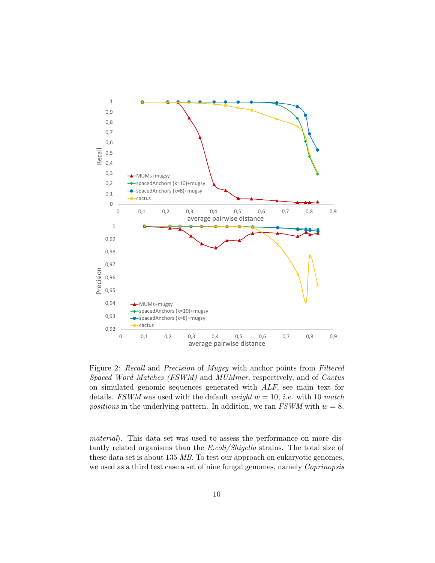

<span id="page-9-0"></span>Figure 2: Recall and Precision of Mugsy with anchor points from Filtered Spaced Word Matches (FSWM) and MUMmer, respectively, and of Cactus on simulated genomic sequences generated with ALF, see main text for details. FSWM was used with the default weight  $w = 10$ , *i.e.* with 10 match positions in the underlying pattern. In addition, we ran  $FSWM$  with  $w = 8$ .

material). This data set was used to assess the performance on more distantly related organisms than the E.coli/Shigella strains. The total size of these data set is about 135 MB. To test our approach on eukaryotic genomes, we used as a third test case a set of nine fungal genomes, namely *Coprinopsis*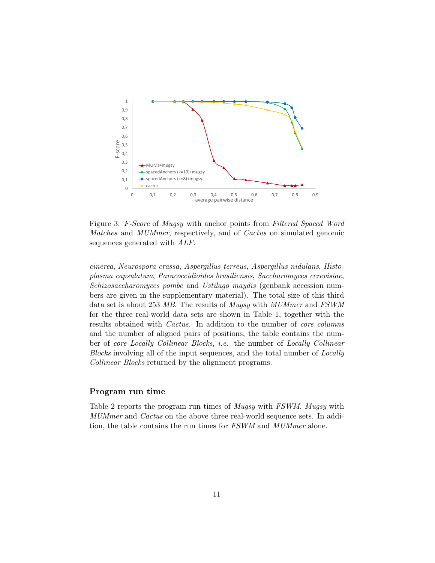

Figure 3: F-Score of Mugsy with anchor points from Filtered Spaced Word Matches and MUMmer, respectively, and of Cactus on simulated genomic sequences generated with ALF.

cinerea, Neurospora crassa, Aspergillus terreus, Aspergillus nidulans, Histoplasma capsulatum, Paracoccidioides brasiliensis, Saccharomyces cerevisiae, Schizosaccharomyces pombe and Ustilago maydis (genbank accession numbers are given in the supplementary material). The total size of this third data set is about 253 MB. The results of Mugsy with MUMmer and FSWM for the three real-world data sets are shown in Table 1, together with the results obtained with *Cactus*. In addition to the number of *core columns* and the number of aligned pairs of positions, the table contains the number of *core Locally Collinear Blocks*, *i.e.* the number of *Locally Collinear* Blocks involving all of the input sequences, and the total number of Locally Collinear Blocks returned by the alignment programs.

#### Program run time

Table 2 reports the program run times of Mugsy with FSWM, Mugsy with MUMmer and Cactus on the above three real-world sequence sets. In addition, the table contains the run times for FSWM and MUMmer alone.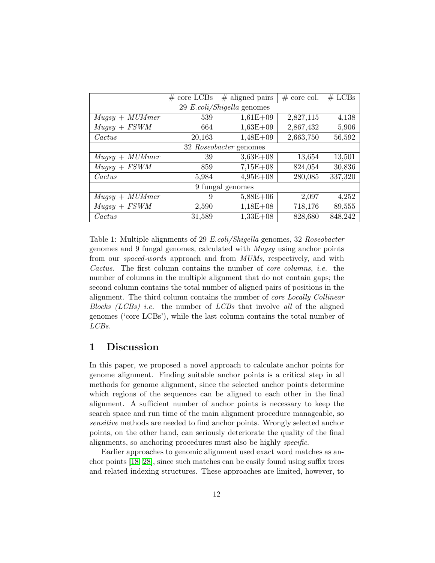|                            | $\#$ core LCBs | $#$ aligned pairs | $#$ core col. | $#$ LCBs |  |  |  |  |
|----------------------------|----------------|-------------------|---------------|----------|--|--|--|--|
| 29 E.coli/Shigella genomes |                |                   |               |          |  |  |  |  |
| $Mugsy + MUMmer$           | 539            | $1,61E+09$        | 2,827,115     | 4,138    |  |  |  |  |
| $Mugsy + FSWM$             | 664            | $1,63E+09$        | 2,867,432     | 5,906    |  |  |  |  |
| Cactus                     | 20,163         | $1,48E+09$        | 2,663,750     | 56,592   |  |  |  |  |
| 32 Roseobacter genomes     |                |                   |               |          |  |  |  |  |
| $Mugsy + MUMmer$           | 39             | $3,63E+08$        | 13,654        | 13,501   |  |  |  |  |
| $Mugsy + FSWM$             | 859            | $7,15E+08$        | 824,054       | 30,836   |  |  |  |  |
| Cactus                     | 5,984          | $4,95E+08$        | 280,085       | 337,320  |  |  |  |  |
| 9 fungal genomes           |                |                   |               |          |  |  |  |  |
| $Mugsy + MUMmer$           | 9              | $5,88E+06$        | 2,097         | 4,252    |  |  |  |  |
| $Mugsy + FSWM$             | 2,590          | $1,18E+08$        | 718,176       | 89,555   |  |  |  |  |
| Cactus                     | 31,589         | $1,33E+08$        | 828,680       | 848,242  |  |  |  |  |

Table 1: Multiple alignments of 29 E.coli/Shigella genomes, 32 Roseobacter genomes and 9 fungal genomes, calculated with Mugsy using anchor points from our *spaced-words* approach and from *MUMs*, respectively, and with Cactus. The first column contains the number of core columns, i.e. the number of columns in the multiple alignment that do not contain gaps; the second column contains the total number of aligned pairs of positions in the alignment. The third column contains the number of core Locally Collinear Blocks (LCBs) *i.e.* the number of LCBs that involve all of the aligned genomes ('core LCBs'), while the last column contains the total number of LCBs.

## 1 Discussion

In this paper, we proposed a novel approach to calculate anchor points for genome alignment. Finding suitable anchor points is a critical step in all methods for genome alignment, since the selected anchor points determine which regions of the sequences can be aligned to each other in the final alignment. A sufficient number of anchor points is necessary to keep the search space and run time of the main alignment procedure manageable, so sensitive methods are needed to find anchor points. Wrongly selected anchor points, on the other hand, can seriously deteriorate the quality of the final alignments, so anchoring procedures must also be highly specific.

Earlier approaches to genomic alignment used exact word matches as anchor points [\[18,](#page-15-2) [28\]](#page-16-3), since such matches can be easily found using suffix trees and related indexing structures. These approaches are limited, however, to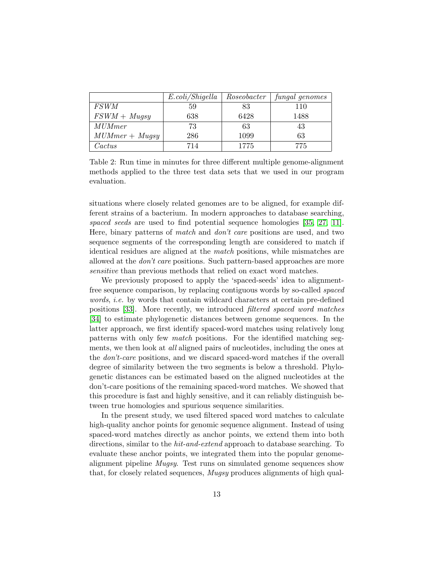|                  | E. coli/Shigella | Roseobacter | fungal genomes |
|------------------|------------------|-------------|----------------|
| <i>FSWM</i>      | 59               | 83          | 110            |
| $FSWM + Mugsy$   | 638              | 6428        | 1488           |
| <b>MUMmer</b>    | 73               | 63          | 43             |
| $MUMmer + Mugsy$ | 286              | 1099        | 63             |
| $\it{Cactus}$    | 714              | 1775        | 775            |

Table 2: Run time in minutes for three different multiple genome-alignment methods applied to the three test data sets that we used in our program evaluation.

situations where closely related genomes are to be aligned, for example different strains of a bacterium. In modern approaches to database searching, spaced seeds are used to find potential sequence homologies [\[35,](#page-17-10) [27,](#page-16-10) [11\]](#page-14-10). Here, binary patterns of match and don't care positions are used, and two sequence segments of the corresponding length are considered to match if identical residues are aligned at the match positions, while mismatches are allowed at the don't care positions. Such pattern-based approaches are more sensitive than previous methods that relied on exact word matches.

We previously proposed to apply the 'spaced-seeds' idea to alignmentfree sequence comparison, by replacing contiguous words by so-called spaced words, i.e. by words that contain wildcard characters at certain pre-defined positions [\[33\]](#page-16-5). More recently, we introduced filtered spaced word matches [\[34\]](#page-16-6) to estimate phylogenetic distances between genome sequences. In the latter approach, we first identify spaced-word matches using relatively long patterns with only few match positions. For the identified matching segments, we then look at all aligned pairs of nucleotides, including the ones at the don't-care positions, and we discard spaced-word matches if the overall degree of similarity between the two segments is below a threshold. Phylogenetic distances can be estimated based on the aligned nucleotides at the don't-care positions of the remaining spaced-word matches. We showed that this procedure is fast and highly sensitive, and it can reliably distinguish between true homologies and spurious sequence similarities.

In the present study, we used filtered spaced word matches to calculate high-quality anchor points for genomic sequence alignment. Instead of using spaced-word matches directly as anchor points, we extend them into both directions, similar to the *hit-and-extend* approach to database searching. To evaluate these anchor points, we integrated them into the popular genomealignment pipeline  $Mugsy$ . Test runs on simulated genome sequences show that, for closely related sequences, Mugsy produces alignments of high qual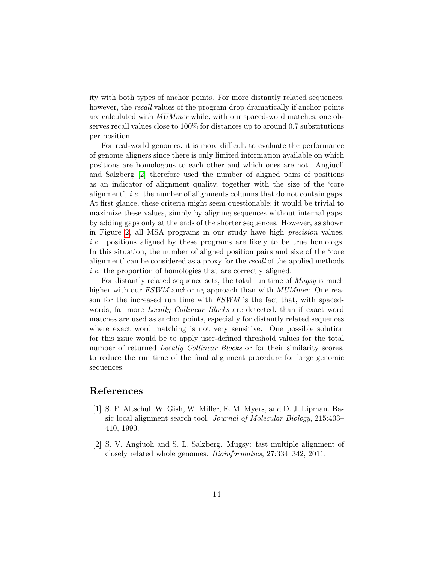ity with both types of anchor points. For more distantly related sequences, however, the *recall* values of the program drop dramatically if anchor points are calculated with MUMmer while, with our spaced-word matches, one observes recall values close to 100% for distances up to around 0.7 substitutions per position.

For real-world genomes, it is more difficult to evaluate the performance of genome aligners since there is only limited information available on which positions are homologous to each other and which ones are not. Angiuoli and Salzberg [\[2\]](#page-13-0) therefore used the number of aligned pairs of positions as an indicator of alignment quality, together with the size of the 'core alignment', *i.e.* the number of alignments columns that do not contain gaps. At first glance, these criteria might seem questionable; it would be trivial to maximize these values, simply by aligning sequences without internal gaps, by adding gaps only at the ends of the shorter sequences. However, as shown in Figure [2,](#page-9-0) all MSA programs in our study have high precision values, i.e. positions aligned by these programs are likely to be true homologs. In this situation, the number of aligned position pairs and size of the 'core alignment' can be considered as a proxy for the recall of the applied methods i.e. the proportion of homologies that are correctly aligned.

For distantly related sequence sets, the total run time of Mugsy is much higher with our FSWM anchoring approach than with MUMmer. One reason for the increased run time with FSWM is the fact that, with spacedwords, far more *Locally Collinear Blocks* are detected, than if exact word matches are used as anchor points, especially for distantly related sequences where exact word matching is not very sensitive. One possible solution for this issue would be to apply user-defined threshold values for the total number of returned *Locally Collinear Blocks* or for their similarity scores, to reduce the run time of the final alignment procedure for large genomic sequences.

## References

- <span id="page-13-1"></span>[1] S. F. Altschul, W. Gish, W. Miller, E. M. Myers, and D. J. Lipman. Basic local alignment search tool. Journal of Molecular Biology, 215:403– 410, 1990.
- <span id="page-13-0"></span>[2] S. V. Angiuoli and S. L. Salzberg. Mugsy: fast multiple alignment of closely related whole genomes. Bioinformatics, 27:334–342, 2011.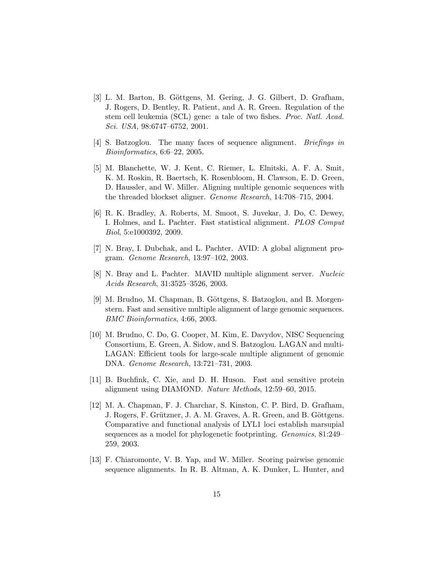- <span id="page-14-0"></span>[3] L. M. Barton, B. Göttgens, M. Gering, J. G. Gilbert, D. Grafham, J. Rogers, D. Bentley, R. Patient, and A. R. Green. Regulation of the stem cell leukemia (SCL) gene: a tale of two fishes. Proc. Natl. Acad. Sci. USA, 98:6747–6752, 2001.
- <span id="page-14-7"></span>[4] S. Batzoglou. The many faces of sequence alignment. Briefings in Bioinformatics, 6:6–22, 2005.
- <span id="page-14-6"></span>[5] M. Blanchette, W. J. Kent, C. Riemer, L. Elnitski, A. F. A. Smit, K. M. Roskin, R. Baertsch, K. Rosenbloom, H. Clawson, E. D. Green, D. Haussler, and W. Miller. Aligning multiple genomic sequences with the threaded blockset aligner. Genome Research, 14:708–715, 2004.
- <span id="page-14-8"></span>[6] R. K. Bradley, A. Roberts, M. Smoot, S. Juvekar, J. Do, C. Dewey, I. Holmes, and L. Pachter. Fast statistical alignment. PLOS Comput Biol, 5:e1000392, 2009.
- <span id="page-14-2"></span>[7] N. Bray, I. Dubchak, and L. Pachter. AVID: A global alignment program. Genome Research, 13:97–102, 2003.
- <span id="page-14-3"></span>[8] N. Bray and L. Pachter. MAVID multiple alignment server. Nucleic Acids Research, 31:3525–3526, 2003.
- <span id="page-14-5"></span>[9] M. Brudno, M. Chapman, B. Göttgens, S. Batzoglou, and B. Morgenstern. Fast and sensitive multiple alignment of large genomic sequences. BMC Bioinformatics, 4:66, 2003.
- <span id="page-14-4"></span>[10] M. Brudno, C. Do, G. Cooper, M. Kim, E. Davydov, NISC Sequencing Consortium, E. Green, A. Sidow, and S. Batzoglou. LAGAN and multi-LAGAN: Efficient tools for large-scale multiple alignment of genomic DNA. Genome Research, 13:721–731, 2003.
- <span id="page-14-10"></span>[11] B. Buchfink, C. Xie, and D. H. Huson. Fast and sensitive protein alignment using DIAMOND. Nature Methods, 12:59–60, 2015.
- <span id="page-14-1"></span>[12] M. A. Chapman, F. J. Charchar, S. Kinston, C. P. Bird, D. Grafham, J. Rogers, F. Grützner, J. A. M. Graves, A. R. Green, and B. Göttgens. Comparative and functional analysis of LYL1 loci establish marsupial sequences as a model for phylogenetic footprinting. Genomics, 81:249– 259, 2003.
- <span id="page-14-9"></span>[13] F. Chiaromonte, V. B. Yap, and W. Miller. Scoring pairwise genomic sequence alignments. In R. B. Altman, A. K. Dunker, L. Hunter, and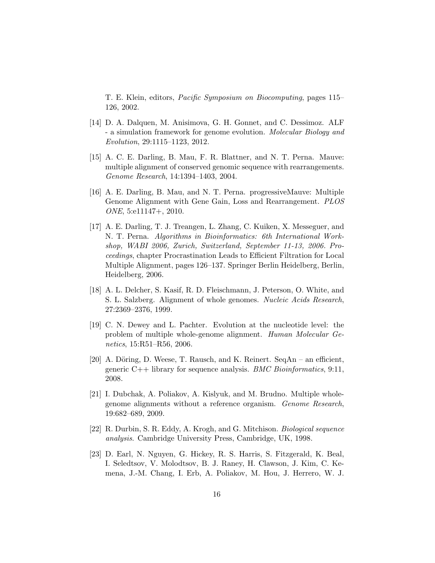T. E. Klein, editors, Pacific Symposium on Biocomputing, pages 115– 126, 2002.

- <span id="page-15-9"></span>[14] D. A. Dalquen, M. Anisimova, G. H. Gonnet, and C. Dessimoz. ALF - a simulation framework for genome evolution. Molecular Biology and Evolution, 29:1115–1123, 2012.
- <span id="page-15-4"></span>[15] A. C. E. Darling, B. Mau, F. R. Blattner, and N. T. Perna. Mauve: multiple alignment of conserved genomic sequence with rearrangements. Genome Research, 14:1394–1403, 2004.
- <span id="page-15-6"></span>[16] A. E. Darling, B. Mau, and N. T. Perna. progressiveMauve: Multiple Genome Alignment with Gene Gain, Loss and Rearrangement. PLOS ONE, 5:e11147+, 2010.
- <span id="page-15-7"></span>[17] A. E. Darling, T. J. Treangen, L. Zhang, C. Kuiken, X. Messeguer, and N. T. Perna. Algorithms in Bioinformatics: 6th International Workshop, WABI 2006, Zurich, Switzerland, September 11-13, 2006. Proceedings, chapter Procrastination Leads to Efficient Filtration for Local Multiple Alignment, pages 126–137. Springer Berlin Heidelberg, Berlin, Heidelberg, 2006.
- <span id="page-15-2"></span>[18] A. L. Delcher, S. Kasif, R. D. Fleischmann, J. Peterson, O. White, and S. L. Salzberg. Alignment of whole genomes. Nucleic Acids Research, 27:2369–2376, 1999.
- <span id="page-15-5"></span>[19] C. N. Dewey and L. Pachter. Evolution at the nucleotide level: the problem of multiple whole-genome alignment. Human Molecular Genetics, 15:R51–R56, 2006.
- <span id="page-15-8"></span>[20] A. Döring, D. Weese, T. Rausch, and K. Reinert. SeqAn – an efficient, generic  $C_{++}$  library for sequence analysis. *BMC Bioinformatics*, 9:11, 2008.
- <span id="page-15-3"></span>[21] I. Dubchak, A. Poliakov, A. Kislyuk, and M. Brudno. Multiple wholegenome alignments without a reference organism. Genome Research, 19:682–689, 2009.
- <span id="page-15-0"></span>[22] R. Durbin, S. R. Eddy, A. Krogh, and G. Mitchison. Biological sequence analysis. Cambridge University Press, Cambridge, UK, 1998.
- <span id="page-15-1"></span>[23] D. Earl, N. Nguyen, G. Hickey, R. S. Harris, S. Fitzgerald, K. Beal, I. Seledtsov, V. Molodtsov, B. J. Raney, H. Clawson, J. Kim, C. Kemena, J.-M. Chang, I. Erb, A. Poliakov, M. Hou, J. Herrero, W. J.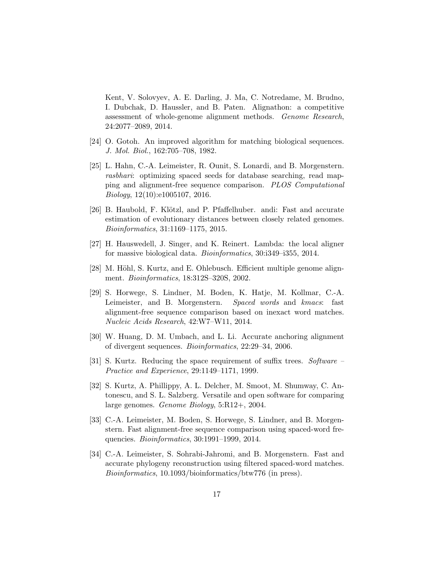Kent, V. Solovyev, A. E. Darling, J. Ma, C. Notredame, M. Brudno, I. Dubchak, D. Haussler, and B. Paten. Alignathon: a competitive assessment of whole-genome alignment methods. Genome Research, 24:2077–2089, 2014.

- <span id="page-16-0"></span>[24] O. Gotoh. An improved algorithm for matching biological sequences. J. Mol. Biol., 162:705–708, 1982.
- <span id="page-16-8"></span>[25] L. Hahn, C.-A. Leimeister, R. Ounit, S. Lonardi, and B. Morgenstern. rasbhari: optimizing spaced seeds for database searching, read mapping and alignment-free sequence comparison. PLOS Computational Biology, 12(10):e1005107, 2016.
- <span id="page-16-9"></span>[26] B. Haubold, F. Klötzl, and P. Pfaffelhuber. andi: Fast and accurate estimation of evolutionary distances between closely related genomes. Bioinformatics, 31:1169–1175, 2015.
- <span id="page-16-10"></span>[27] H. Hauswedell, J. Singer, and K. Reinert. Lambda: the local aligner for massive biological data. Bioinformatics, 30:i349–i355, 2014.
- <span id="page-16-3"></span>[28] M. Höhl, S. Kurtz, and E. Ohlebusch. Efficient multiple genome alignment. Bioinformatics, 18:312S–320S, 2002.
- <span id="page-16-7"></span>[29] S. Horwege, S. Lindner, M. Boden, K. Hatje, M. Kollmar, C.-A. Leimeister, and B. Morgenstern. Spaced words and kmacs: fast alignment-free sequence comparison based on inexact word matches. Nucleic Acids Research, 42:W7–W11, 2014.
- <span id="page-16-1"></span>[30] W. Huang, D. M. Umbach, and L. Li. Accurate anchoring alignment of divergent sequences. Bioinformatics, 22:29–34, 2006.
- <span id="page-16-4"></span>[31] S. Kurtz. Reducing the space requirement of suffix trees. Software – Practice and Experience, 29:1149–1171, 1999.
- <span id="page-16-2"></span>[32] S. Kurtz, A. Phillippy, A. L. Delcher, M. Smoot, M. Shumway, C. Antonescu, and S. L. Salzberg. Versatile and open software for comparing large genomes. Genome Biology, 5:R12+, 2004.
- <span id="page-16-5"></span>[33] C.-A. Leimeister, M. Boden, S. Horwege, S. Lindner, and B. Morgenstern. Fast alignment-free sequence comparison using spaced-word frequencies. Bioinformatics, 30:1991–1999, 2014.
- <span id="page-16-6"></span>[34] C.-A. Leimeister, S. Sohrabi-Jahromi, and B. Morgenstern. Fast and accurate phylogeny reconstruction using filtered spaced-word matches. Bioinformatics, 10.1093/bioinformatics/btw776 (in press).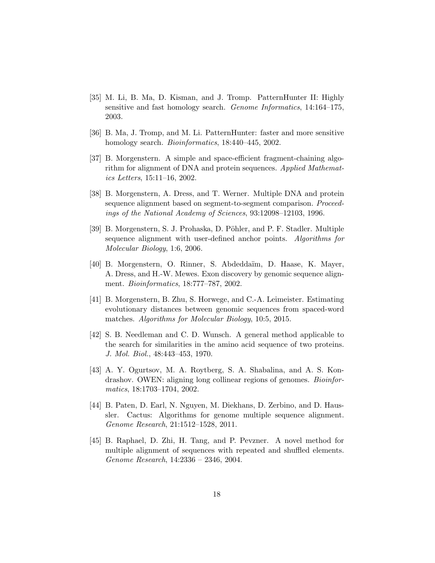- <span id="page-17-10"></span>[35] M. Li, B. Ma, D. Kisman, and J. Tromp. PatternHunter II: Highly sensitive and fast homology search. Genome Informatics, 14:164–175, 2003.
- <span id="page-17-8"></span>[36] B. Ma, J. Tromp, and M. Li. PatternHunter: faster and more sensitive homology search. *Bioinformatics*, 18:440–445, 2002.
- <span id="page-17-1"></span>[37] B. Morgenstern. A simple and space-efficient fragment-chaining algorithm for alignment of DNA and protein sequences. Applied Mathematics Letters, 15:11–16, 2002.
- <span id="page-17-2"></span>[38] B. Morgenstern, A. Dress, and T. Werner. Multiple DNA and protein sequence alignment based on segment-to-segment comparison. Proceedings of the National Academy of Sciences, 93:12098–12103, 1996.
- <span id="page-17-4"></span>[39] B. Morgenstern, S. J. Prohaska, D. Pöhler, and P. F. Stadler. Multiple sequence alignment with user-defined anchor points. Algorithms for Molecular Biology, 1:6, 2006.
- <span id="page-17-3"></span>[40] B. Morgenstern, O. Rinner, S. Abdedda¨ım, D. Haase, K. Mayer, A. Dress, and H.-W. Mewes. Exon discovery by genomic sequence alignment. Bioinformatics, 18:777–787, 2002.
- <span id="page-17-9"></span>[41] B. Morgenstern, B. Zhu, S. Horwege, and C.-A. Leimeister. Estimating evolutionary distances between genomic sequences from spaced-word matches. Algorithms for Molecular Biology, 10:5, 2015.
- <span id="page-17-0"></span>[42] S. B. Needleman and C. D. Wunsch. A general method applicable to the search for similarities in the amino acid sequence of two proteins. J. Mol. Biol., 48:443–453, 1970.
- <span id="page-17-5"></span>[43] A. Y. Ogurtsov, M. A. Roytberg, S. A. Shabalina, and A. S. Kondrashov. OWEN: aligning long collinear regions of genomes. *Bioinfor*matics, 18:1703–1704, 2002.
- <span id="page-17-7"></span>[44] B. Paten, D. Earl, N. Nguyen, M. Diekhans, D. Zerbino, and D. Haussler. Cactus: Algorithms for genome multiple sequence alignment. Genome Research, 21:1512–1528, 2011.
- <span id="page-17-6"></span>[45] B. Raphael, D. Zhi, H. Tang, and P. Pevzner. A novel method for multiple alignment of sequences with repeated and shuffled elements. Genome Research, 14:2336 – 2346, 2004.